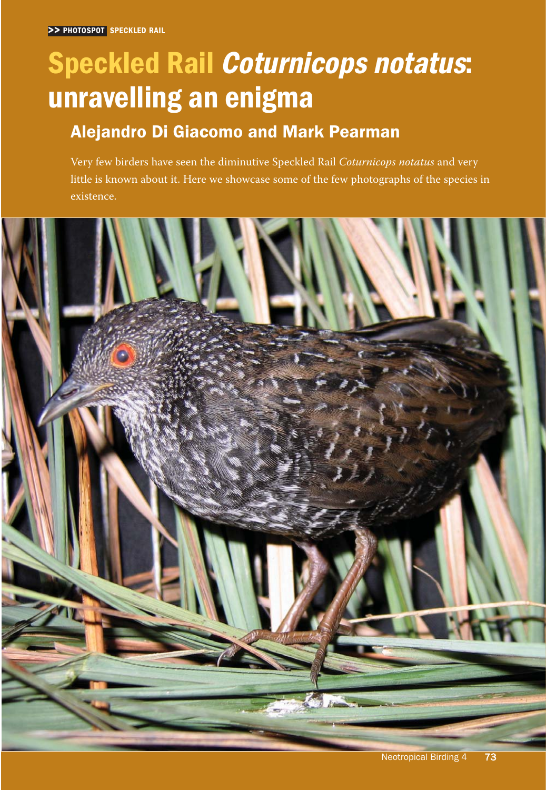# Speckled Rail Coturnicops notatus: unravelling an enigma

## Alejandro Di Giacomo and Mark Pearman

Very few birders have seen the diminutive Speckled Rail *Coturnicops notatus* and very little is known about it. Here we showcase some of the few photographs of the species in existence.

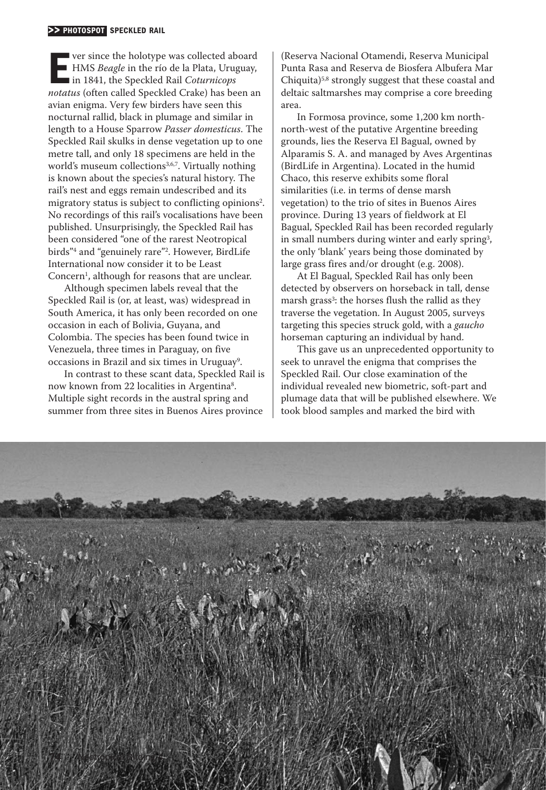#### >> PHOTOSPOT SPECKLED RAIL

**France the holotype was collected aboard** HMS *Beagle* in the río de la Plata, Uruguay, in 1841, the Speckled Rail *Coturnicops notatus* (often called Speckled Crake) has been an ver since the holotype was collected aboard HMS *Beagle* in the río de la Plata, Uruguay, ■ in 1841, the Speckled Rail *Coturnicops* avian enigma. Very few birders have seen this nocturnal rallid, black in plumage and similar in length to a House Sparrow *Passer domesticus*. The Speckled Rail skulks in dense vegetation up to one metre tall, and only 18 specimens are held in the world's museum collections<sup>3,6,7</sup>. Virtually nothing is known about the species's natural history. The rail's nest and eggs remain undescribed and its migratory status is subject to conflicting opinions<sup>2</sup>. No recordings of this rail's vocalisations have been published. Unsurprisingly, the Speckled Rail has been considered "one of the rarest Neotropical birds"4 and "genuinely rare"2. However, BirdLife International now consider it to be Least Concern<sup>1</sup>, although for reasons that are unclear.

Although specimen labels reveal that the Speckled Rail is (or, at least, was) widespread in South America, it has only been recorded on one occasion in each of Bolivia, Guyana, and Colombia. The species has been found twice in Venezuela, three times in Paraguay, on five occasions in Brazil and six times in Uruguay<sup>9</sup>.

In contrast to these scant data, Speckled Rail is now known from 22 localities in Argentina<sup>8</sup>. Multiple sight records in the austral spring and summer from three sites in Buenos Aires province

(Reserva Nacional Otamendi, Reserva Municipal Punta Rasa and Reserva de Biosfera Albufera Mar Chiquita)5,8 strongly suggest that these coastal and deltaic saltmarshes may comprise a core breeding area.

In Formosa province, some 1,200 km north north- west of the putative Argentine breeding grounds, lies the Reserva El Bagual, owned by Alparamis S. A. and managed by Aves Argentinas (BirdLife in Argentina). Located in the humid Chaco, this reserve exhibits some floral similarities (i.e. in terms of dense marsh vegetation) to the trio of sites in Buenos Aires province. During 13 years of fieldwork at El Bagual, Speckled Rail has been recorded regularly in small numbers during winter and early spring<sup>3</sup>, the only 'blank' years being those dominated by large grass fires and/or drought (e.g. 2008).

At El Bagual, Speckled Rail has only been detected by observers on horseback in tall, dense marsh grass<sup>3</sup>: the horses flush the rallid as they traverse the vegetation. In August 2005, surveys targeting this species struck gold, with a *gaucho* horseman capturing an individual by hand.

This gave us an unprecedented opportunity to seek to unravel the enigma that comprises the Speckled Rail. Our close examination of the individual revealed new biometric, soft- part and plumage data that will be published elsewhere. We took blood samples and marked the bird with

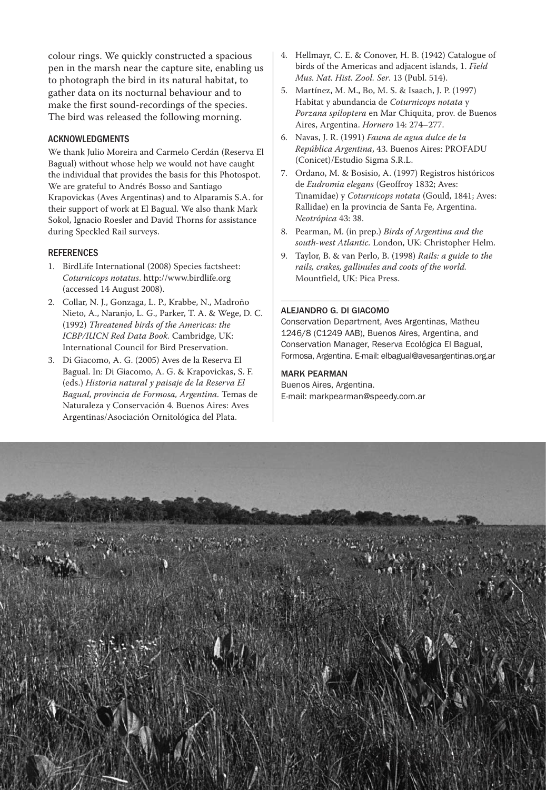colour rings. We quickly constructed a spacious pen in the marsh near the capture site, enabling us to photograph the bird in its natural habitat, to gather data on its nocturnal behaviour and to make the first sound-recordings of the species. The bird was released the following morning.

### ACKNOWLEDGMENTS

We thank Julio Moreira and Carmelo Cerdán (Reserva El Bagual) without whose help we would not have caught the individual that provides the basis for this Photospot. We are grateful to Andrés Bosso and Santiago Krapovickas (Aves Argentinas) and to Alparamis S.A. for their support of work at El Bagual. We also thank Mark Sokol, Ignacio Roesler and David Thorns for assistance during Speckled Rail surveys.

#### REFERENCES

- 1. BirdLife International (2008) Species factsheet: *Coturnicops notatus*. http://www.birdlife.org (accessed 14 August 2008).
- 2. Collar, N. J., Gonzaga, L. P., Krabbe, N., Madroño Nieto, A., Naranjo, L. G., Parker, T. A. & Wege, D. C. (1992) *Threatened birds of the Americas: the ICBP/IUCN Red Data Book.* Cambridge, UK: International Council for Bird Preservation.
- 3. Di Giacomo, A. G. (2005) Aves de la Reserva El Bagual. In: Di Giacomo, A. G. & Krapovickas, S. F. (eds.) *Historia natural y paisaje de la Reserva El Bagual, provincia de Formosa, Argentina.* Temas de Naturaleza y Conservación 4. Buenos Aires: Aves Argentinas/Asociación Ornitológica del Plata.
- 4. Hellmayr, C. E. & Conover, H. B. (1942) Catalogue of birds of the Americas and adjacent islands, 1. *Field Mus. Nat. Hist. Zool. Ser*. 13 (Publ. 514).
- 5. Martínez, M. M., Bo, M. S. & Isaach, J. P. (1997) Habitat y abundancia de *Coturnicops notata* y *Porzana spiloptera* en Mar Chiquita, prov. de Buenos Aires, Argentina. *Hornero* 14: 274–277.
- 6. Navas, J. R. (1991) *Fauna de agua dulce de la República Argentina*, 43. Buenos Aires: PROFADU (Conicet)/Estudio Sigma S.R.L.
- 7. Ordano, M. & Bosisio, A. (1997) Registros históricos de *Eudromia elegans* (Geoffroy 1832; Aves: Tinamidae) y *Coturnicops notata* (Gould, 1841; Aves: Rallidae) en la provincia de Santa Fe, Argentina. *Neotrópica* 43: 38.
- 8. Pearman, M. (in prep.) *Birds of Argentina and the south- west Atlantic.* London, UK: Christopher Helm.
- 9. Taylor, B. & van Perlo, B. (1998) *Rails: a guide to the rails, crakes, gallinules and coots of the world.* Mountfield, UK: Pica Press.

#### ALEJANDRO G. DI GIACOMO

Conservation Department, Aves Argentinas, Matheu 1246/8 (C1249 AAB), Buenos Aires, Argentina, and Conservation Manager, Reserva Ecológica El Bagual, Formosa, Argentina, E-mail: elbagual@ayesargentinas.org.ar

#### MARK PEARMAN

Buenos Aires, Argentina. E- mail: markpearman@speedy.com.ar

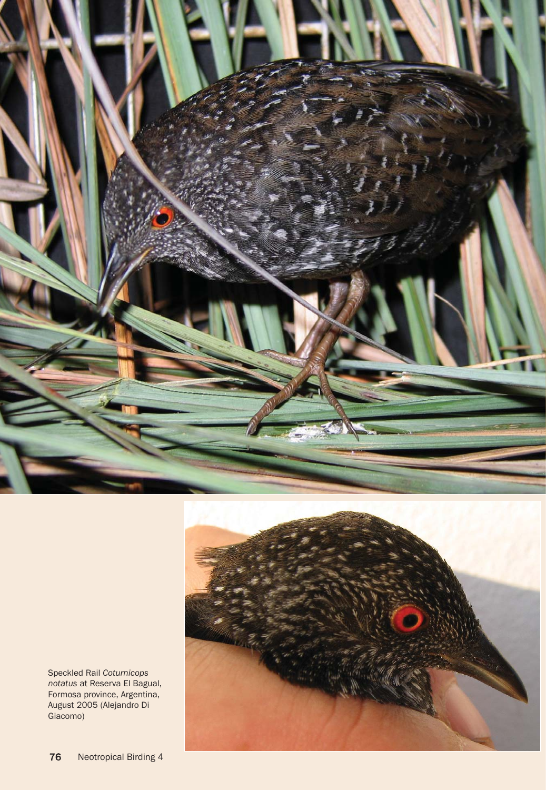

Speckled Rail *Coturnicops notatus* at Reserva El Bagual, Formosa province, Argentina, August 2005 (Alejandro Di Giacomo)